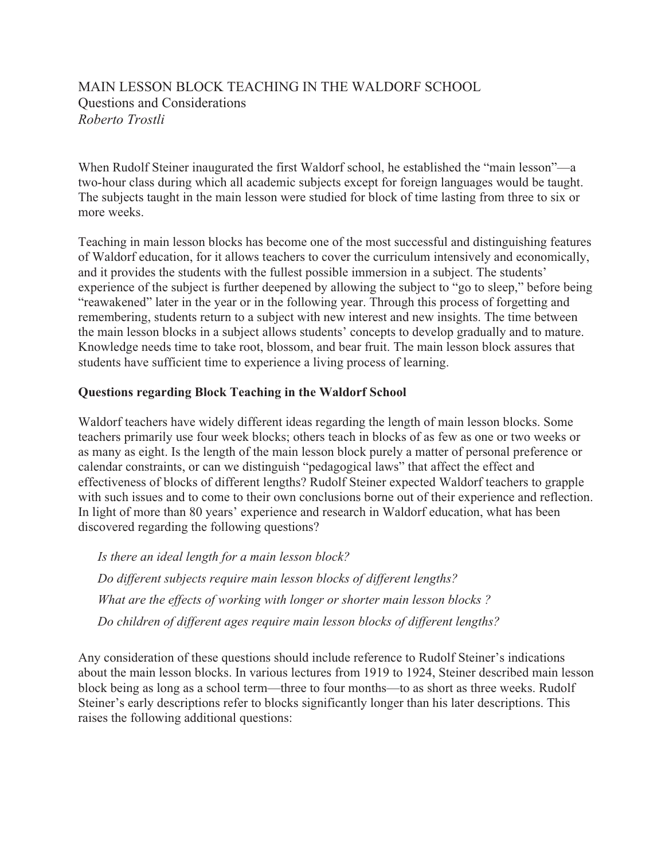# MAIN LESSON BLOCK TEACHING IN THE WALDORF SCHOOL Questions and Considerations *Roberto Trostli*

When Rudolf Steiner inaugurated the first Waldorf school, he established the "main lesson"—a two-hour class during which all academic subjects except for foreign languages would be taught. The subjects taught in the main lesson were studied for block of time lasting from three to six or more weeks.

Teaching in main lesson blocks has become one of the most successful and distinguishing features of Waldorf education, for it allows teachers to cover the curriculum intensively and economically, and it provides the students with the fullest possible immersion in a subject. The students' experience of the subject is further deepened by allowing the subject to "go to sleep," before being "reawakened" later in the year or in the following year. Through this process of forgetting and remembering, students return to a subject with new interest and new insights. The time between the main lesson blocks in a subject allows students' concepts to develop gradually and to mature. Knowledge needs time to take root, blossom, and bear fruit. The main lesson block assures that students have sufficient time to experience a living process of learning.

### **Questions regarding Block Teaching in the Waldorf School**

Waldorf teachers have widely different ideas regarding the length of main lesson blocks. Some teachers primarily use four week blocks; others teach in blocks of as few as one or two weeks or as many as eight. Is the length of the main lesson block purely a matter of personal preference or calendar constraints, or can we distinguish "pedagogical laws" that affect the effect and effectiveness of blocks of different lengths? Rudolf Steiner expected Waldorf teachers to grapple with such issues and to come to their own conclusions borne out of their experience and reflection. In light of more than 80 years' experience and research in Waldorf education, what has been discovered regarding the following questions?

*Is there an ideal length for a main lesson block? Do different subjects require main lesson blocks of different lengths? What are the effects of working with longer or shorter main lesson blocks ? Do children of different ages require main lesson blocks of different lengths?*

Any consideration of these questions should include reference to Rudolf Steiner's indications about the main lesson blocks. In various lectures from 1919 to 1924, Steiner described main lesson block being as long as a school term—three to four months—to as short as three weeks. Rudolf Steiner's early descriptions refer to blocks significantly longer than his later descriptions. This raises the following additional questions: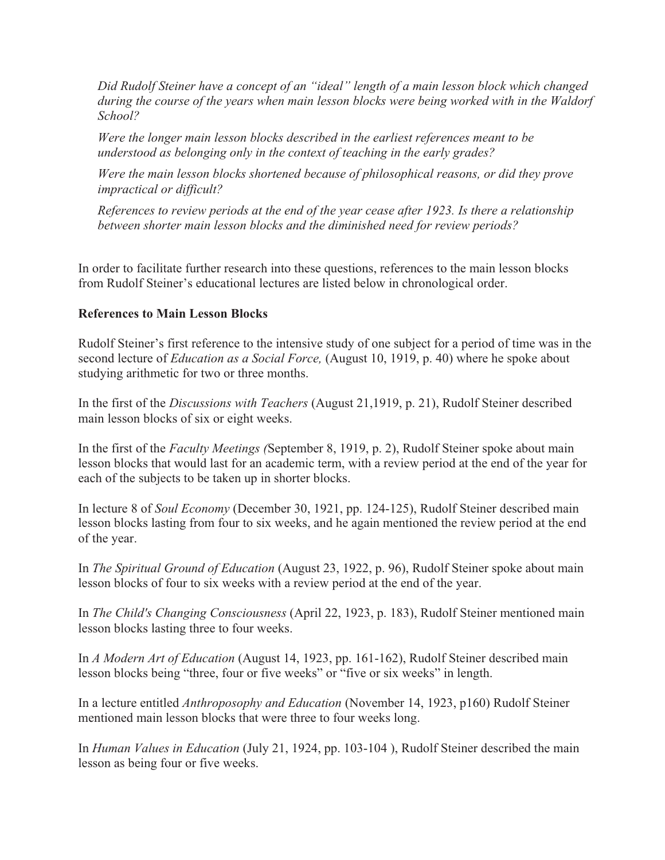*Did Rudolf Steiner have a concept of an "ideal" length of a main lesson block which changed during the course of the years when main lesson blocks were being worked with in the Waldorf School?*

*Were the longer main lesson blocks described in the earliest references meant to be understood as belonging only in the context of teaching in the early grades?*

*Were the main lesson blocks shortened because of philosophical reasons, or did they prove impractical or difficult?*

*References to review periods at the end of the year cease after 1923. Is there a relationship between shorter main lesson blocks and the diminished need for review periods?*

In order to facilitate further research into these questions, references to the main lesson blocks from Rudolf Steiner's educational lectures are listed below in chronological order.

### **References to Main Lesson Blocks**

Rudolf Steiner's first reference to the intensive study of one subject for a period of time was in the second lecture of *Education as a Social Force,* (August 10, 1919, p. 40) where he spoke about studying arithmetic for two or three months.

In the first of the *Discussions with Teachers* (August 21,1919, p. 21), Rudolf Steiner described main lesson blocks of six or eight weeks.

In the first of the *Faculty Meetings (*September 8, 1919, p. 2), Rudolf Steiner spoke about main lesson blocks that would last for an academic term, with a review period at the end of the year for each of the subjects to be taken up in shorter blocks.

In lecture 8 of *Soul Economy* (December 30, 1921, pp. 124-125), Rudolf Steiner described main lesson blocks lasting from four to six weeks, and he again mentioned the review period at the end of the year.

In *The Spiritual Ground of Education* (August 23, 1922, p. 96), Rudolf Steiner spoke about main lesson blocks of four to six weeks with a review period at the end of the year.

In *The Child's Changing Consciousness* (April 22, 1923, p. 183), Rudolf Steiner mentioned main lesson blocks lasting three to four weeks.

In *A Modern Art of Education* (August 14, 1923, pp. 161-162), Rudolf Steiner described main lesson blocks being "three, four or five weeks" or "five or six weeks" in length.

In a lecture entitled *Anthroposophy and Education* (November 14, 1923, p160) Rudolf Steiner mentioned main lesson blocks that were three to four weeks long.

In *Human Values in Education* (July 21, 1924, pp. 103-104 ), Rudolf Steiner described the main lesson as being four or five weeks.